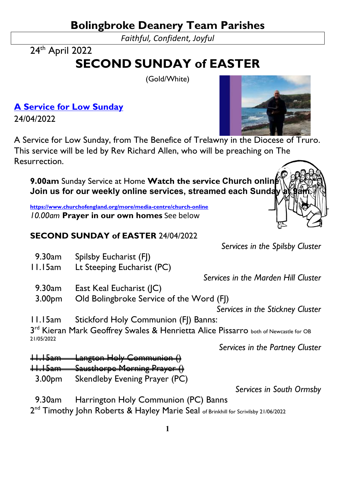**Bolingbroke Deanery Team Parishes**

*Faithful, Confident, Joyful*

24<sup>th</sup> April 2022

## **SECOND SUNDAY of EASTER**

(Gold/White)

**[A Service for Low Sunday](https://www.churchofengland.org/prayer-and-worship/join-us-church-online/weekly-online-services/service-low-sunday)**  24/04/2022

A Service for Low Sunday, from The Benefice of Trelawny in the Diocese of Truro. This service will be led by Rev Richard Allen, who will be preaching on The Resurrection.

**9.00am** Sunday Service at Home **Watch the service Church online Join us for our weekly online services, streamed each Sunday** 

**<https://www.churchofengland.org/more/media-centre/church-online>** *10.00am* **Prayer in our own homes** See below

## **SECOND SUNDAY of EASTER** 24/04/2022

9.30am Spilsby Eucharist (FJ)

11.15am Lt Steeping Eucharist (PC)

9.30am East Keal Eucharist (JC)

*Services in the Spilsby Cluster*

*Services in the Marden Hill Cluster*

 3.00pm Old Bolingbroke Service of the Word (FJ) *Services in the Stickney Cluster*

11.15am Stickford Holy Communion (FJ) Banns:

 $3<sup>rd</sup>$  Kieran Mark Geoffrey Swales & Henrietta Alice Pissarro both of Newcastle for OB 21/05/2022

*Services in the Partney Cluster*

- 11.15am Langton Holy Communion ()
- 11.15am Sausthorpe Morning Prayer ()
	- 3.00pm Skendleby Evening Prayer (PC)

*Services in South Ormsby*

9.30am Harrington Holy Communion (PC) Banns

2<sup>nd</sup> Timothy John Roberts & Hayley Marie Seal of Brinkhill for Scrivilsby 21/06/2022

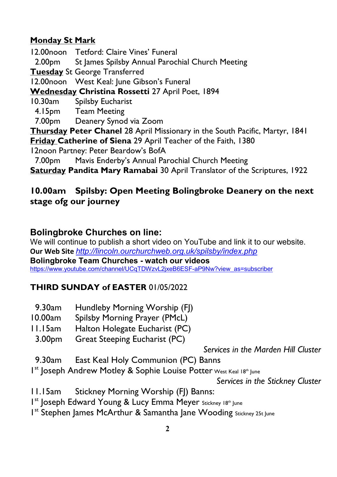## **Monday St Mark**

12.00noon Tetford: Claire Vines' Funeral

2.00pm St James Spilsby Annual Parochial Church Meeting

**Tuesday** St George Transferred

12.00noon West Keal: June Gibson's Funeral

**Wednesday Christina Rossetti** 27 April Poet, 1894

10.30am Spilsby Eucharist

- 4.15pm Team Meeting
- 7.00pm Deanery Synod via Zoom

**Thursday Peter Chanel** 28 April Missionary in the South Pacific, Martyr, 1841 **Friday Catherine of Siena** 29 April Teacher of the Faith, 1380

12noon Partney: Peter Beardow's BofA

7.00pm Mavis Enderby's Annual Parochial Church Meeting

**Saturday Pandita Mary Ramabai** 30 April Translator of the Scriptures, 1922

## **10.00am Spilsby: Open Meeting Bolingbroke Deanery on the next stage ofg our journey**

## **Bolingbroke Churches on line:**

We will continue to publish a short video on YouTube and link it to our website. **Our Web Site** *<http://lincoln.ourchurchweb.org.uk/spilsby/index.php>* **Bolingbroke Team Churches - watch our videos**  [https://www.youtube.com/channel/UCqTDWzvL2jxeB6ESF-aP9Nw?view\\_as=subscriber](https://www.youtube.com/channel/UCqTDWzvL2jxeB6ESF-aP9Nw?view_as=subscriber)

## **THIRD SUNDAY of EASTER** 01/05/2022

- 9.30am Hundleby Morning Worship (FJ)
- 10.00am Spilsby Morning Prayer (PMcL)
- 11.15am Halton Holegate Eucharist (PC)
- 3.00pm Great Steeping Eucharist (PC)

*Services in the Marden Hill Cluster*

- 9.30am East Keal Holy Communion (PC) Banns
- Ist Joseph Andrew Motley & Sophie Louise Potter West Keal 18th June

*Services in the Stickney Cluster*

- 11.15am Stickney Morning Worship (FJ) Banns:
- Ist Joseph Edward Young & Lucy Emma Meyer Stickney 18th June
- I<sup>st</sup> Stephen James McArthur & Samantha Jane Wooding Stickney 25t June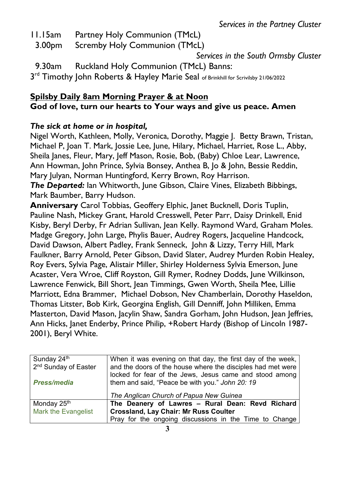- 11.15am Partney Holy Communion (TMcL)
	- 3.00pm Scremby Holy Communion (TMcL)

*Services in the South Ormsby Cluster*

- 9.30am Ruckland Holy Communion (TMcL) Banns:
- 3<sup>rd</sup> Timothy John Roberts & Hayley Marie Seal of Brinkhill for Scrivilsby 21/06/2022

## **Spilsby Daily 8am Morning Prayer & at Noon God of love, turn our hearts to Your ways and give us peace. Amen**

### *The sick at home or in hospital,*

Nigel Worth, Kathleen, Molly, Veronica, Dorothy, Maggie J. Betty Brawn, Tristan, Michael P, Joan T. Mark, Jossie Lee, June, Hilary, Michael, Harriet, Rose L., Abby, Sheila Janes, Fleur, Mary, Jeff Mason, Rosie, Bob, (Baby) Chloe Lear, Lawrence, Ann Howman, John Prince, Sylvia Bonsey, Anthea B, Jo & John, Bessie Reddin, Mary Julyan, Norman Huntingford, Kerry Brown, Roy Harrison.

*The Departed:* Ian Whitworth, June Gibson, Claire Vines, Elizabeth Bibbings, Mark Baumber, Barry Hudson.

**Anniversary** Carol Tobbias, Geoffery Elphic, Janet Bucknell, Doris Tuplin, Pauline Nash, Mickey Grant, Harold Cresswell, Peter Parr, Daisy Drinkell, Enid Kisby, Beryl Derby, Fr Adrian Sullivan, Jean Kelly. Raymond Ward, Graham Moles. Madge Gregory, John Large, Phylis Bauer, Audrey Rogers, Jacqueline Handcock, David Dawson, Albert Padley, Frank Senneck, John & Lizzy, Terry Hill, Mark Faulkner, Barry Arnold, Peter Gibson, David Slater, Audrey Murden Robin Healey, Roy Evers, Sylvia Page, Alistair Miller, Shirley Holderness Sylvia Emerson, June Acaster, Vera Wroe, Cliff Royston, Gill Rymer, Rodney Dodds, June Wilkinson, Lawrence Fenwick, Bill Short, Jean Timmings, Gwen Worth, Sheila Mee, Lillie Marriott, Edna Brammer, Michael Dobson, Nev Chamberlain, Dorothy Haseldon, Thomas Litster, Bob Kirk, Georgina English, Gill Denniff, John Milliken, Emma Masterton, David Mason, Jacylin Shaw, Sandra Gorham, John Hudson, Jean Jeffries, Ann Hicks, Janet Enderby, Prince Philip, +Robert Hardy (Bishop of Lincoln 1987- 2001), Beryl White.

| Sunday 24th                      | When it was evening on that day, the first day of the week, |
|----------------------------------|-------------------------------------------------------------|
| 2 <sup>nd</sup> Sunday of Easter | and the doors of the house where the disciples had met were |
|                                  | locked for fear of the Jews, Jesus came and stood among     |
| <b>Press/media</b>               | them and said, "Peace be with you." John 20: 19             |
|                                  |                                                             |
|                                  | The Anglican Church of Papua New Guinea                     |
| Monday 25 <sup>th</sup>          | The Deanery of Lawres - Rural Dean: Revd Richard            |
| <b>Mark the Evangelist</b>       | <b>Crossland, Lay Chair: Mr Russ Coulter</b>                |
|                                  | Pray for the ongoing discussions in the Time to Change      |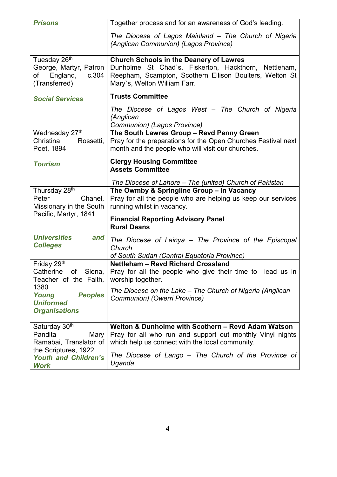| <b>Prisons</b>                                                                                 | Together process and for an awareness of God's leading.                                                                                                                                           |
|------------------------------------------------------------------------------------------------|---------------------------------------------------------------------------------------------------------------------------------------------------------------------------------------------------|
|                                                                                                | The Diocese of Lagos Mainland - The Church of Nigeria<br>(Anglican Communion) (Lagos Province)                                                                                                    |
| Tuesday 26 <sup>th</sup><br>George, Martyr, Patron<br>England,<br>c.304<br>of<br>(Transferred) | <b>Church Schools in the Deanery of Lawres</b><br>Dunholme St Chad's, Fiskerton, Hackthorn, Nettleham,<br>Reepham, Scampton, Scothern Ellison Boulters, Welton St<br>Mary's, Welton William Farr. |
| <b>Social Services</b>                                                                         | <b>Trusts Committee</b>                                                                                                                                                                           |
|                                                                                                | The Diocese of Lagos West - The Church of Nigeria<br>(Anglican<br>Communion) (Lagos Province)                                                                                                     |
| Wednesday 27th<br>Christina<br>Rossetti,<br>Poet, 1894                                         | The South Lawres Group - Revd Penny Green<br>Pray for the preparations for the Open Churches Festival next<br>month and the people who will visit our churches.                                   |
| <b>Tourism</b>                                                                                 | <b>Clergy Housing Committee</b><br><b>Assets Committee</b>                                                                                                                                        |
|                                                                                                | The Diocese of Lahore – The (united) Church of Pakistan                                                                                                                                           |
| Thursday 28 <sup>th</sup><br>Peter<br>Chanel,<br>Missionary in the South                       | The Owmby & Springline Group - In Vacancy<br>Pray for all the people who are helping us keep our services<br>running whilst in vacancy.                                                           |
| Pacific, Martyr, 1841                                                                          | <b>Financial Reporting Advisory Panel</b><br><b>Rural Deans</b>                                                                                                                                   |
| <b>Universities</b><br>and<br><b>Colleges</b>                                                  | The Diocese of Lainya - The Province of the Episcopal<br>Church<br>of South Sudan (Cantral Equatoria Province)                                                                                    |
| Friday 29th<br>Catherine<br>of<br>Siena,<br>Teacher of the Faith,                              | <b>Nettleham - Revd Richard Crossland</b><br>Pray for all the people who give their time to lead us in<br>worship together.                                                                       |
| 1380<br>Young<br><b>Peoples</b><br><b>Uniformed</b><br><b>Organisations</b>                    | The Diocese on the Lake - The Church of Nigeria (Anglican<br>Communion) (Owerri Province)                                                                                                         |
|                                                                                                |                                                                                                                                                                                                   |
| Saturday 30th<br>Pandita<br>Mary<br>Ramabai, Translator of                                     | Welton & Dunholme with Scothern - Revd Adam Watson<br>Pray for all who run and support out monthly Vinyl nights<br>which help us connect with the local community.                                |
| the Scriptures, 1922<br><b>Youth and Children's</b><br><b>Work</b>                             | The Diocese of Lango – The Church of the Province of<br>Uganda                                                                                                                                    |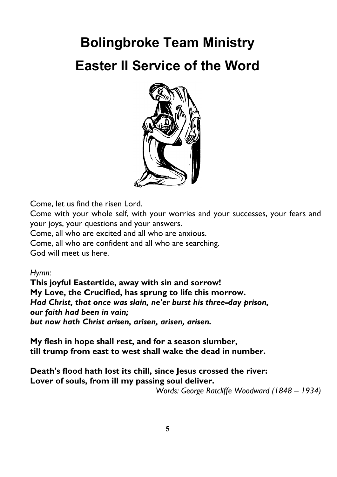# **Bolingbroke Team Ministry Easter II Service of the Word**



Come, let us find the risen Lord.

Come with your whole self, with your worries and your successes, your fears and your joys, your questions and your answers.

Come, all who are excited and all who are anxious.

Come, all who are confident and all who are searching.

God will meet us here.

*Hymn:* 

**This joyful Eastertide, away with sin and sorrow! My Love, the Crucified, has sprung to life this morrow.** *Had Christ, that once was slain, ne'er burst his three-day prison, our faith had been in vain; but now hath Christ arisen, arisen, arisen, arisen.*

**My flesh in hope shall rest, and for a season slumber, till trump from east to west shall wake the dead in number.**

**Death's flood hath lost its chill, since Jesus crossed the river: Lover of souls, from ill my passing soul deliver.**

*Words: George Ratcliffe Woodward (1848 – 1934)*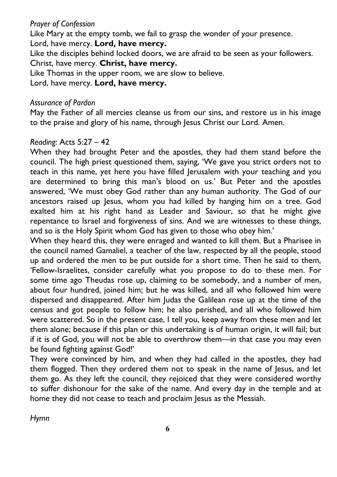#### *Prayer of Confession*

Like Mary at the empty tomb, we fail to grasp the wonder of your presence.

Lord, have mercy. **Lord, have mercy.**

Like the disciples behind locked doors, we are afraid to be seen as your followers. Christ, have mercy. **Christ, have mercy.**

Like Thomas in the upper room, we are slow to believe.

Lord, have mercy. **Lord, have mercy.**

#### *Assurance of Pardon*

May the Father of all mercies cleanse us from our sins, and restore us in his image to the praise and glory of his name, through Jesus Christ our Lord. Amen.

#### *Reading:* Acts 5:27 – 42

When they had brought Peter and the apostles, they had them stand before the council. The high priest questioned them, saying, 'We gave you strict orders not to teach in this name, yet here you have filled Jerusalem with your teaching and you are determined to bring this man's blood on us.' But Peter and the apostles answered, 'We must obey God rather than any human authority. The God of our ancestors raised up Jesus, whom you had killed by hanging him on a tree. God exalted him at his right hand as Leader and Saviour, so that he might give repentance to Israel and forgiveness of sins. And we are witnesses to these things, and so is the Holy Spirit whom God has given to those who obey him.'

When they heard this, they were enraged and wanted to kill them. But a Pharisee in the council named Gamaliel, a teacher of the law, respected by all the people, stood up and ordered the men to be put outside for a short time. Then he said to them, 'Fellow-Israelites, consider carefully what you propose to do to these men. For some time ago Theudas rose up, claiming to be somebody, and a number of men, about four hundred, joined him; but he was killed, and all who followed him were dispersed and disappeared. After him Judas the Galilean rose up at the time of the census and got people to follow him; he also perished, and all who followed him were scattered. So in the present case, I tell you, keep away from these men and let them alone; because if this plan or this undertaking is of human origin, it will fail; but if it is of God, you will not be able to overthrow them—in that case you may even be found fighting against God!'

They were convinced by him, and when they had called in the apostles, they had them flogged. Then they ordered them not to speak in the name of Jesus, and let them go. As they left the council, they rejoiced that they were considered worthy to suffer dishonour for the sake of the name. And every day in the temple and at home they did not cease to teach and proclaim Jesus as the Messiah.

*Hymn*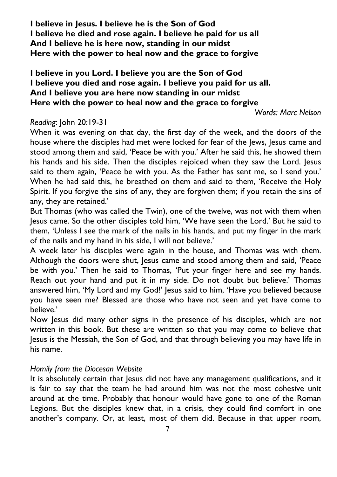**I believe in Jesus. I believe he is the Son of God I believe he died and rose again. I believe he paid for us all And I believe he is here now, standing in our midst Here with the power to heal now and the grace to forgive**

#### **I believe in you Lord. I believe you are the Son of God I believe you died and rose again. I believe you paid for us all. And I believe you are here now standing in our midst Here with the power to heal now and the grace to forgive**

*Words: Marc Nelson*

#### *Reading*: John 20:19-31

When it was evening on that day, the first day of the week, and the doors of the house where the disciples had met were locked for fear of the Jews, Jesus came and stood among them and said, 'Peace be with you.' After he said this, he showed them his hands and his side. Then the disciples rejoiced when they saw the Lord. Jesus said to them again, 'Peace be with you. As the Father has sent me, so I send you.' When he had said this, he breathed on them and said to them, 'Receive the Holy Spirit. If you forgive the sins of any, they are forgiven them; if you retain the sins of any, they are retained.'

But Thomas (who was called the Twin), one of the twelve, was not with them when Jesus came. So the other disciples told him, 'We have seen the Lord.' But he said to them, 'Unless I see the mark of the nails in his hands, and put my finger in the mark of the nails and my hand in his side, I will not believe.'

A week later his disciples were again in the house, and Thomas was with them. Although the doors were shut, Jesus came and stood among them and said, 'Peace be with you.' Then he said to Thomas, 'Put your finger here and see my hands. Reach out your hand and put it in my side. Do not doubt but believe.' Thomas answered him, 'My Lord and my God!' Jesus said to him, 'Have you believed because you have seen me? Blessed are those who have not seen and yet have come to believe.'

Now Jesus did many other signs in the presence of his disciples, which are not written in this book. But these are written so that you may come to believe that Jesus is the Messiah, the Son of God, and that through believing you may have life in his name.

#### *Homily from the Diocesan Website*

It is absolutely certain that Jesus did not have any management qualifications, and it is fair to say that the team he had around him was not the most cohesive unit around at the time. Probably that honour would have gone to one of the Roman Legions. But the disciples knew that, in a crisis, they could find comfort in one another's company. Or, at least, most of them did. Because in that upper room,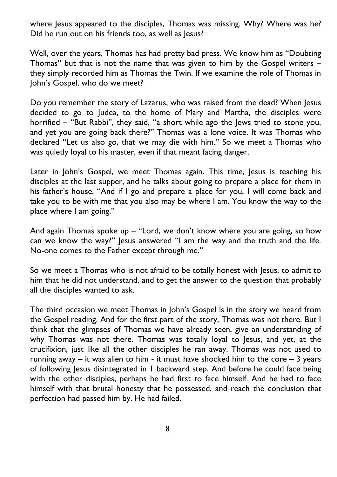where Jesus appeared to the disciples, Thomas was missing. Why? Where was he? Did he run out on his friends too, as well as Jesus?

Well, over the years, Thomas has had pretty bad press. We know him as "Doubting Thomas" but that is not the name that was given to him by the Gospel writers – they simply recorded him as Thomas the Twin. If we examine the role of Thomas in John's Gospel, who do we meet?

Do you remember the story of Lazarus, who was raised from the dead? When Jesus decided to go to Judea, to the home of Mary and Martha, the disciples were horrified – "But Rabbi", they said, "a short while ago the Jews tried to stone you, and yet you are going back there?" Thomas was a lone voice. It was Thomas who declared "Let us also go, that we may die with him." So we meet a Thomas who was quietly loyal to his master, even if that meant facing danger.

Later in John's Gospel, we meet Thomas again. This time, Jesus is teaching his disciples at the last supper, and he talks about going to prepare a place for them in his father's house. "And if I go and prepare a place for you, I will come back and take you to be with me that you also may be where I am. You know the way to the place where I am going."

And again Thomas spoke up  $-$  "Lord, we don't know where you are going, so how can we know the way?" Jesus answered "I am the way and the truth and the life. No-one comes to the Father except through me."

So we meet a Thomas who is not afraid to be totally honest with Jesus, to admit to him that he did not understand, and to get the answer to the question that probably all the disciples wanted to ask.

The third occasion we meet Thomas in John's Gospel is in the story we heard from the Gospel reading. And for the first part of the story, Thomas was not there. But I think that the glimpses of Thomas we have already seen, give an understanding of why Thomas was not there. Thomas was totally loyal to Jesus, and yet, at the crucifixion, just like all the other disciples he ran away. Thomas was not used to running away – it was alien to him - it must have shocked him to the core  $-3$  years of following Jesus disintegrated in 1 backward step. And before he could face being with the other disciples, perhaps he had first to face himself. And he had to face himself with that brutal honesty that he possessed, and reach the conclusion that perfection had passed him by. He had failed.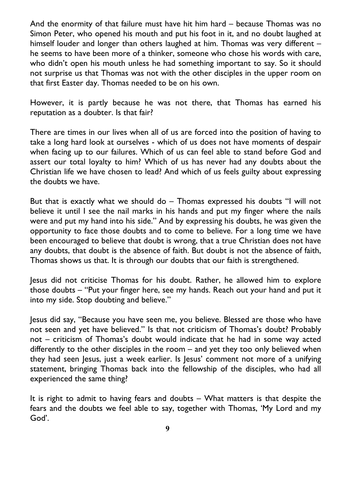And the enormity of that failure must have hit him hard – because Thomas was no Simon Peter, who opened his mouth and put his foot in it, and no doubt laughed at himself louder and longer than others laughed at him. Thomas was very different he seems to have been more of a thinker, someone who chose his words with care, who didn't open his mouth unless he had something important to say. So it should not surprise us that Thomas was not with the other disciples in the upper room on that first Easter day. Thomas needed to be on his own.

However, it is partly because he was not there, that Thomas has earned his reputation as a doubter. Is that fair?

There are times in our lives when all of us are forced into the position of having to take a long hard look at ourselves - which of us does not have moments of despair when facing up to our failures. Which of us can feel able to stand before God and assert our total loyalty to him? Which of us has never had any doubts about the Christian life we have chosen to lead? And which of us feels guilty about expressing the doubts we have.

But that is exactly what we should do – Thomas expressed his doubts "I will not believe it until I see the nail marks in his hands and put my finger where the nails were and put my hand into his side." And by expressing his doubts, he was given the opportunity to face those doubts and to come to believe. For a long time we have been encouraged to believe that doubt is wrong, that a true Christian does not have any doubts, that doubt is the absence of faith. But doubt is not the absence of faith, Thomas shows us that. It is through our doubts that our faith is strengthened.

Jesus did not criticise Thomas for his doubt. Rather, he allowed him to explore those doubts – "Put your finger here, see my hands. Reach out your hand and put it into my side. Stop doubting and believe."

Jesus did say, "Because you have seen me, you believe. Blessed are those who have not seen and yet have believed." Is that not criticism of Thomas's doubt? Probably not – criticism of Thomas's doubt would indicate that he had in some way acted differently to the other disciples in the room – and yet they too only believed when they had seen Jesus, just a week earlier. Is Jesus' comment not more of a unifying statement, bringing Thomas back into the fellowship of the disciples, who had all experienced the same thing?

It is right to admit to having fears and doubts – What matters is that despite the fears and the doubts we feel able to say, together with Thomas, 'My Lord and my God'.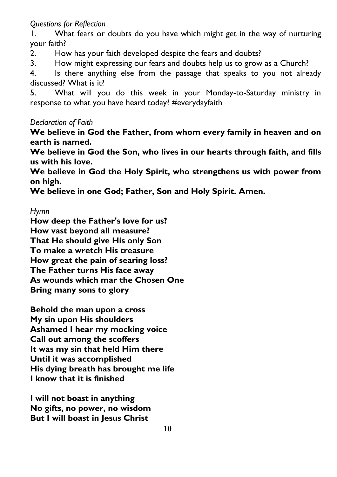#### *Questions for Reflection*

1. What fears or doubts do you have which might get in the way of nurturing your faith?

2. How has your faith developed despite the fears and doubts?

3. How might expressing our fears and doubts help us to grow as a Church?

4. Is there anything else from the passage that speaks to you not already discussed? What is it?

5. What will you do this week in your Monday-to-Saturday ministry in response to what you have heard today? #everydayfaith

#### *Declaration of Faith*

**We believe in God the Father, from whom every family in heaven and on earth is named.**

**We believe in God the Son, who lives in our hearts through faith, and fills us with his love.**

**We believe in God the Holy Spirit, who strengthens us with power from on high.**

**We believe in one God; Father, Son and Holy Spirit. Amen.**

#### *Hymn*

**How deep the Father's love for us? How vast beyond all measure? That He should give His only Son To make a wretch His treasure How great the pain of searing loss? The Father turns His face away As wounds which mar the Chosen One Bring many sons to glory**

**Behold the man upon a cross My sin upon His shoulders Ashamed I hear my mocking voice Call out among the scoffers It was my sin that held Him there Until it was accomplished His dying breath has brought me life I know that it is finished**

**I will not boast in anything No gifts, no power, no wisdom But I will boast in Jesus Christ**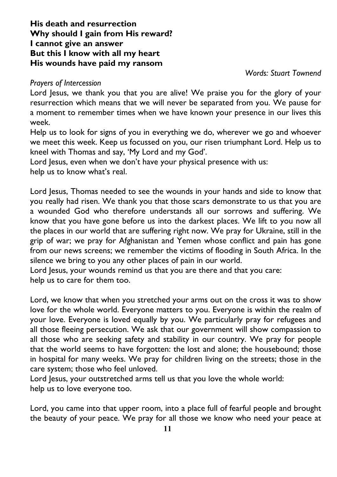#### **His death and resurrection Why should I gain from His reward? I cannot give an answer But this I know with all my heart His wounds have paid my ransom**

*Words: Stuart Townend*

#### *Prayers of Intercession*

Lord Jesus, we thank you that you are alive! We praise you for the glory of your resurrection which means that we will never be separated from you. We pause for a moment to remember times when we have known your presence in our lives this week.

Help us to look for signs of you in everything we do, wherever we go and whoever we meet this week. Keep us focussed on you, our risen triumphant Lord. Help us to kneel with Thomas and say, 'My Lord and my God'.

Lord Jesus, even when we don't have your physical presence with us:

help us to know what's real.

Lord Jesus, Thomas needed to see the wounds in your hands and side to know that you really had risen. We thank you that those scars demonstrate to us that you are a wounded God who therefore understands all our sorrows and suffering. We know that you have gone before us into the darkest places. We lift to you now all the places in our world that are suffering right now. We pray for Ukraine, still in the grip of war; we pray for Afghanistan and Yemen whose conflict and pain has gone from our news screens; we remember the victims of flooding in South Africa. In the silence we bring to you any other places of pain in our world.

Lord Jesus, your wounds remind us that you are there and that you care: help us to care for them too.

Lord, we know that when you stretched your arms out on the cross it was to show love for the whole world. Everyone matters to you. Everyone is within the realm of your love. Everyone is loved equally by you. We particularly pray for refugees and all those fleeing persecution. We ask that our government will show compassion to all those who are seeking safety and stability in our country. We pray for people that the world seems to have forgotten: the lost and alone; the housebound; those in hospital for many weeks. We pray for children living on the streets; those in the care system; those who feel unloved.

Lord Jesus, your outstretched arms tell us that you love the whole world: help us to love everyone too.

Lord, you came into that upper room, into a place full of fearful people and brought the beauty of your peace. We pray for all those we know who need your peace at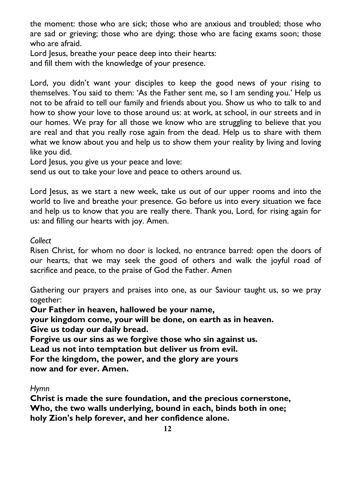the moment: those who are sick; those who are anxious and troubled; those who are sad or grieving; those who are dying; those who are facing exams soon; those who are afraid.

Lord Jesus, breathe your peace deep into their hearts:

and fill them with the knowledge of your presence.

Lord, you didn't want your disciples to keep the good news of your rising to themselves. You said to them: 'As the Father sent me, so I am sending you.' Help us not to be afraid to tell our family and friends about you. Show us who to talk to and how to show your love to those around us: at work, at school, in our streets and in our homes. We pray for all those we know who are struggling to believe that you are real and that you really rose again from the dead. Help us to share with them what we know about you and help us to show them your reality by living and loving like you did.

Lord Jesus, you give us your peace and love:

send us out to take your love and peace to others around us.

Lord Jesus, as we start a new week, take us out of our upper rooms and into the world to live and breathe your presence. Go before us into every situation we face and help us to know that you are really there. Thank you, Lord, for rising again for us: and filling our hearts with joy. Amen.

#### *Collect*

Risen Christ, for whom no door is locked, no entrance barred: open the doors of our hearts, that we may seek the good of others and walk the joyful road of sacrifice and peace, to the praise of God the Father. Amen

Gathering our prayers and praises into one, as our Saviour taught us, so we pray together:

**Our Father in heaven, hallowed be your name,**

**your kingdom come, your will be done, on earth as in heaven. Give us today our daily bread.**

**Forgive us our sins as we forgive those who sin against us.**

**Lead us not into temptation but deliver us from evil.**

**For the kingdom, the power, and the glory are yours now and for ever. Amen.**

#### *Hymn*

**Christ is made the sure foundation, and the precious cornerstone, Who, the two walls underlying, bound in each, binds both in one; holy Zion's help forever, and her confidence alone.**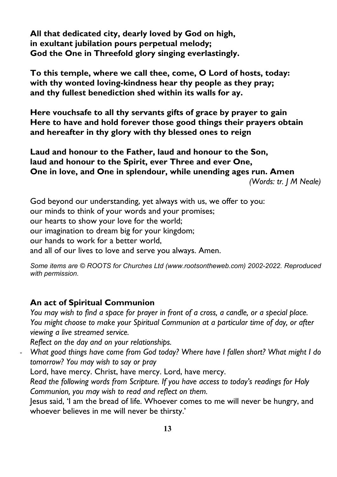**All that dedicated city, dearly loved by God on high, in exultant jubilation pours perpetual melody; God the One in Threefold glory singing everlastingly.**

**To this temple, where we call thee, come, O Lord of hosts, today: with thy wonted loving-kindness hear thy people as they pray; and thy fullest benediction shed within its walls for ay.**

**Here vouchsafe to all thy servants gifts of grace by prayer to gain Here to have and hold forever those good things their prayers obtain and hereafter in thy glory with thy blessed ones to reign**

**Laud and honour to the Father, laud and honour to the Son, laud and honour to the Spirit, ever Three and ever One, One in love, and One in splendour, while unending ages run. Amen** *(Words: tr. J M Neale)*

God beyond our understanding, yet always with us, we offer to you: our minds to think of your words and your promises; our hearts to show your love for the world; our imagination to dream big for your kingdom; our hands to work for a better world, and all of our lives to love and serve you always. Amen.

*Some items are © ROOTS for Churches Ltd (www.rootsontheweb.com) 2002-2022. Reproduced with permission.*

#### **An act of Spiritual Communion**

*You may wish to find a space for prayer in front of a cross, a candle, or a special place. You might choose to make your Spiritual Communion at a particular time of day, or after viewing a live streamed service.*

*Reflect on the day and on your relationships.*

- *What good things have come from God today? Where have I fallen short? What might I do tomorrow? You may wish to say or pray*

Lord, have mercy. Christ, have mercy. Lord, have mercy.

*Read the following words from Scripture. If you have access to today's readings for Holy Communion, you may wish to read and reflect on them.*

Jesus said, 'I am the bread of life. Whoever comes to me will never be hungry, and whoever believes in me will never be thirsty.'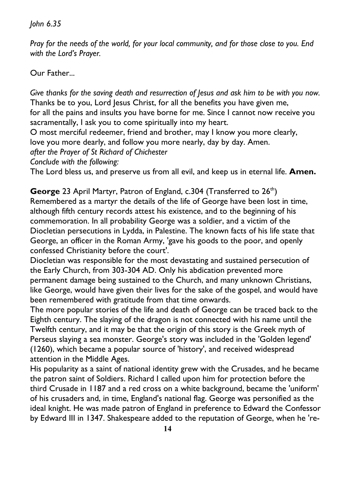*John 6.35*

*Pray for the needs of the world, for your local community, and for those close to you. End with the Lord's Prayer.*

Our Father...

*Give thanks for the saving death and resurrection of Jesus and ask him to be with you now.* Thanks be to you, Lord Jesus Christ, for all the benefits you have given me, for all the pains and insults you have borne for me. Since I cannot now receive you sacramentally, I ask you to come spiritually into my heart.

O most merciful redeemer, friend and brother, may I know you more clearly,

love you more dearly, and follow you more nearly, day by day. Amen.

*after the Prayer of St Richard of Chichester*

*Conclude with the following:*

The Lord bless us, and preserve us from all evil, and keep us in eternal life. **Amen.**

**George** 23 April Martyr, Patron of England, c.304 (Transferred to 26<sup>th</sup>) Remembered as a martyr the details of the life of George have been lost in time, although fifth century records attest his existence, and to the beginning of his commemoration. In all probability George was a soldier, and a victim of the Diocletian persecutions in Lydda, in Palestine. The known facts of his life state that George, an officer in the Roman Army, 'gave his goods to the poor, and openly confessed Christianity before the court'.

Diocletian was responsible for the most devastating and sustained persecution of the Early Church, from 303-304 AD. Only his abdication prevented more permanent damage being sustained to the Church, and many unknown Christians, like George, would have given their lives for the sake of the gospel, and would have been remembered with gratitude from that time onwards.

The more popular stories of the life and death of George can be traced back to the Eighth century. The slaying of the dragon is not connected with his name until the Twelfth century, and it may be that the origin of this story is the Greek myth of Perseus slaying a sea monster. George's story was included in the 'Golden legend' (1260), which became a popular source of 'history', and received widespread attention in the Middle Ages.

His popularity as a saint of national identity grew with the Crusades, and he became the patron saint of Soldiers. Richard I called upon him for protection before the third Crusade in 1187 and a red cross on a white background, became the 'uniform' of his crusaders and, in time, England's national flag. George was personified as the ideal knight. He was made patron of England in preference to Edward the Confessor by Edward III in 1347. Shakespeare added to the reputation of George, when he 're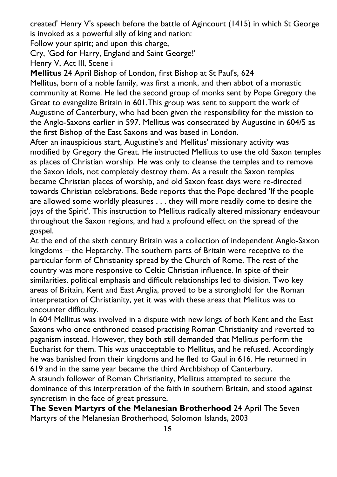created' Henry V's speech before the battle of Agincourt (1415) in which St George is invoked as a powerful ally of king and nation:

Follow your spirit; and upon this charge,

Cry, 'God for Harry, England and Saint George!'

Henry V, Act III, Scene i

**Mellitus** 24 April Bishop of London, first Bishop at St Paul's, 624 Mellitus, born of a noble family, was first a monk, and then abbot of a monastic community at Rome. He led the second group of monks sent by Pope Gregory the Great to evangelize Britain in 601.This group was sent to support the work of Augustine of Canterbury, who had been given the responsibility for the mission to the Anglo-Saxons earlier in 597. Mellitus was consecrated by Augustine in 604/5 as the first Bishop of the East Saxons and was based in London.

After an inauspicious start, Augustine's and Mellitus' missionary activity was modified by Gregory the Great. He instructed Mellitus to use the old Saxon temples as places of Christian worship. He was only to cleanse the temples and to remove the Saxon idols, not completely destroy them. As a result the Saxon temples became Christian places of worship, and old Saxon feast days were re-directed towards Christian celebrations. Bede reports that the Pope declared 'If the people are allowed some worldly pleasures . . . they will more readily come to desire the joys of the Spirit'. This instruction to Mellitus radically altered missionary endeavour throughout the Saxon regions, and had a profound effect on the spread of the gospel.

At the end of the sixth century Britain was a collection of independent Anglo-Saxon kingdoms – the Heptarchy. The southern parts of Britain were receptive to the particular form of Christianity spread by the Church of Rome. The rest of the country was more responsive to Celtic Christian influence. In spite of their similarities, political emphasis and difficult relationships led to division. Two key areas of Britain, Kent and East Anglia, proved to be a stronghold for the Roman interpretation of Christianity, yet it was with these areas that Mellitus was to encounter difficulty.

In 604 Mellitus was involved in a dispute with new kings of both Kent and the East Saxons who once enthroned ceased practising Roman Christianity and reverted to paganism instead. However, they both still demanded that Mellitus perform the Eucharist for them. This was unacceptable to Mellitus, and he refused. Accordingly he was banished from their kingdoms and he fled to Gaul in 616. He returned in 619 and in the same year became the third Archbishop of Canterbury.

A staunch follower of Roman Christianity, Mellitus attempted to secure the dominance of this interpretation of the faith in southern Britain, and stood against syncretism in the face of great pressure.

**The Seven Martyrs of the Melanesian Brotherhood** 24 April The Seven Martyrs of the Melanesian Brotherhood, Solomon Islands, 2003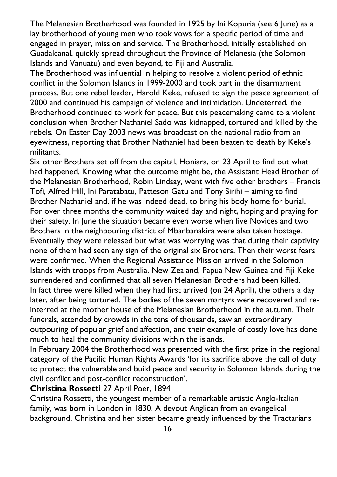The Melanesian Brotherhood was founded in 1925 by Ini Kopuria (see 6 June) as a lay brotherhood of young men who took vows for a specific period of time and engaged in prayer, mission and service. The Brotherhood, initially established on Guadalcanal, quickly spread throughout the Province of Melanesia (the Solomon Islands and Vanuatu) and even beyond, to Fiji and Australia.

The Brotherhood was influential in helping to resolve a violent period of ethnic conflict in the Solomon Islands in 1999-2000 and took part in the disarmament process. But one rebel leader, Harold Keke, refused to sign the peace agreement of 2000 and continued his campaign of violence and intimidation. Undeterred, the Brotherhood continued to work for peace. But this peacemaking came to a violent conclusion when Brother Nathaniel Sado was kidnapped, tortured and killed by the rebels. On Easter Day 2003 news was broadcast on the national radio from an eyewitness, reporting that Brother Nathaniel had been beaten to death by Keke's militants.

Six other Brothers set off from the capital, Honiara, on 23 April to find out what had happened. Knowing what the outcome might be, the Assistant Head Brother of the Melanesian Brotherhood, Robin Lindsay, went with five other brothers – Francis Tofi, Alfred Hill, Ini Paratabatu, Patteson Gatu and Tony Sirihi – aiming to find Brother Nathaniel and, if he was indeed dead, to bring his body home for burial. For over three months the community waited day and night, hoping and praying for their safety. In June the situation became even worse when five Novices and two Brothers in the neighbouring district of Mbanbanakira were also taken hostage. Eventually they were released but what was worrying was that during their captivity none of them had seen any sign of the original six Brothers. Then their worst fears were confirmed. When the Regional Assistance Mission arrived in the Solomon Islands with troops from Australia, New Zealand, Papua New Guinea and Fiji Keke surrendered and confirmed that all seven Melanesian Brothers had been killed. In fact three were killed when they had first arrived (on 24 April), the others a day later, after being tortured. The bodies of the seven martyrs were recovered and reinterred at the mother house of the Melanesian Brotherhood in the autumn. Their funerals, attended by crowds in the tens of thousands, saw an extraordinary outpouring of popular grief and affection, and their example of costly love has done much to heal the community divisions within the islands.

In February 2004 the Brotherhood was presented with the first prize in the regional category of the Pacific Human Rights Awards 'for its sacrifice above the call of duty to protect the vulnerable and build peace and security in Solomon Islands during the civil conflict and post-conflict reconstruction'.

## **Christina Rossetti** 27 April Poet, 1894

Christina Rossetti, the youngest member of a remarkable artistic Anglo-Italian family, was born in London in 1830. A devout Anglican from an evangelical background, Christina and her sister became greatly influenced by the Tractarians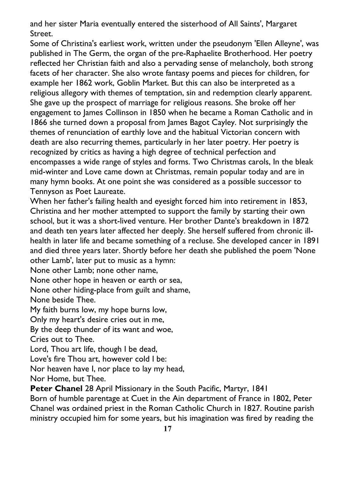and her sister Maria eventually entered the sisterhood of All Saints', Margaret Street.

Some of Christina's earliest work, written under the pseudonym 'Ellen Alleyne', was published in The Germ, the organ of the pre-Raphaelite Brotherhood. Her poetry reflected her Christian faith and also a pervading sense of melancholy, both strong facets of her character. She also wrote fantasy poems and pieces for children, for example her 1862 work, Goblin Market. But this can also be interpreted as a religious allegory with themes of temptation, sin and redemption clearly apparent. She gave up the prospect of marriage for religious reasons. She broke off her engagement to James Collinson in 1850 when he became a Roman Catholic and in 1866 she turned down a proposal from James Bagot Cayley. Not surprisingly the themes of renunciation of earthly love and the habitual Victorian concern with death are also recurring themes, particularly in her later poetry. Her poetry is recognized by critics as having a high degree of technical perfection and encompasses a wide range of styles and forms. Two Christmas carols, In the bleak mid-winter and Love came down at Christmas, remain popular today and are in many hymn books. At one point she was considered as a possible successor to Tennyson as Poet Laureate.

When her father's failing health and eyesight forced him into retirement in 1853, Christina and her mother attempted to support the family by starting their own school, but it was a short-lived venture. Her brother Dante's breakdown in 1872 and death ten years later affected her deeply. She herself suffered from chronic illhealth in later life and became something of a recluse. She developed cancer in 1891 and died three years later. Shortly before her death she published the poem 'None other Lamb', later put to music as a hymn:

None other Lamb; none other name,

None other hope in heaven or earth or sea,

None other hiding-place from guilt and shame,

None beside Thee.

My faith burns low, my hope burns low,

Only my heart's desire cries out in me,

By the deep thunder of its want and woe,

Cries out to Thee.

Lord, Thou art life, though I be dead,

Love's fire Thou art, however cold I be:

Nor heaven have I, nor place to lay my head,

Nor Home, but Thee.

**Peter Chanel** 28 April Missionary in the South Pacific, Martyr, 1841

Born of humble parentage at Cuet in the Ain department of France in 1802, Peter Chanel was ordained priest in the Roman Catholic Church in 1827. Routine parish ministry occupied him for some years, but his imagination was fired by reading the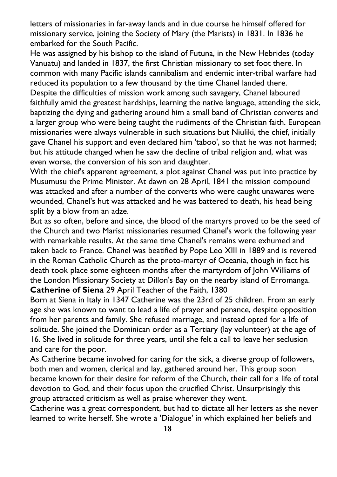letters of missionaries in far-away lands and in due course he himself offered for missionary service, joining the Society of Mary (the Marists) in 1831. In 1836 he embarked for the South Pacific.

He was assigned by his bishop to the island of Futuna, in the New Hebrides (today Vanuatu) and landed in 1837, the first Christian missionary to set foot there. In common with many Pacific islands cannibalism and endemic inter-tribal warfare had reduced its population to a few thousand by the time Chanel landed there. Despite the difficulties of mission work among such savagery, Chanel laboured faithfully amid the greatest hardships, learning the native language, attending the sick, baptizing the dying and gathering around him a small band of Christian converts and a larger group who were being taught the rudiments of the Christian faith. European missionaries were always vulnerable in such situations but Niuliki, the chief, initially gave Chanel his support and even declared him 'taboo', so that he was not harmed; but his attitude changed when he saw the decline of tribal religion and, what was even worse, the conversion of his son and daughter.

With the chief's apparent agreement, a plot against Chanel was put into practice by Musumusu the Prime Minister. At dawn on 28 April, 1841 the mission compound was attacked and after a number of the converts who were caught unawares were wounded, Chanel's hut was attacked and he was battered to death, his head being split by a blow from an adze.

But as so often, before and since, the blood of the martyrs proved to be the seed of the Church and two Marist missionaries resumed Chanel's work the following year with remarkable results. At the same time Chanel's remains were exhumed and taken back to France. Chanel was beatified by Pope Leo XIII in 1889 and is revered in the Roman Catholic Church as the proto-martyr of Oceania, though in fact his death took place some eighteen months after the martyrdom of John Williams of the London Missionary Society at Dillon's Bay on the nearby island of Erromanga. **Catherine of Siena** 29 April Teacher of the Faith, 1380

Born at Siena in Italy in 1347 Catherine was the 23rd of 25 children. From an early age she was known to want to lead a life of prayer and penance, despite opposition from her parents and family. She refused marriage, and instead opted for a life of solitude. She joined the Dominican order as a Tertiary (lay volunteer) at the age of 16. She lived in solitude for three years, until she felt a call to leave her seclusion and care for the poor.

As Catherine became involved for caring for the sick, a diverse group of followers, both men and women, clerical and lay, gathered around her. This group soon became known for their desire for reform of the Church, their call for a life of total devotion to God, and their focus upon the crucified Christ. Unsurprisingly this group attracted criticism as well as praise wherever they went.

Catherine was a great correspondent, but had to dictate all her letters as she never learned to write herself. She wrote a 'Dialogue' in which explained her beliefs and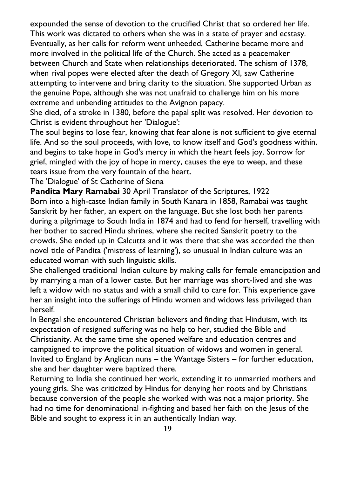expounded the sense of devotion to the crucified Christ that so ordered her life. This work was dictated to others when she was in a state of prayer and ecstasy. Eventually, as her calls for reform went unheeded, Catherine became more and more involved in the political life of the Church. She acted as a peacemaker between Church and State when relationships deteriorated. The schism of 1378, when rival popes were elected after the death of Gregory XI, saw Catherine attempting to intervene and bring clarity to the situation. She supported Urban as the genuine Pope, although she was not unafraid to challenge him on his more extreme and unbending attitudes to the Avignon papacy.

She died, of a stroke in 1380, before the papal split was resolved. Her devotion to Christ is evident throughout her 'Dialogue':

The soul begins to lose fear, knowing that fear alone is not sufficient to give eternal life. And so the soul proceeds, with love, to know itself and God's goodness within, and begins to take hope in God's mercy in which the heart feels joy. Sorrow for grief, mingled with the joy of hope in mercy, causes the eye to weep, and these tears issue from the very fountain of the heart.

The 'Dialogue' of St Catherine of Siena

**Pandita Mary Ramabai** 30 April Translator of the Scriptures, 1922 Born into a high-caste Indian family in South Kanara in 1858, Ramabai was taught Sanskrit by her father, an expert on the language. But she lost both her parents during a pilgrimage to South India in 1874 and had to fend for herself, travelling with her bother to sacred Hindu shrines, where she recited Sanskrit poetry to the crowds. She ended up in Calcutta and it was there that she was accorded the then novel title of Pandita ('mistress of learning'), so unusual in Indian culture was an educated woman with such linguistic skills.

She challenged traditional Indian culture by making calls for female emancipation and by marrying a man of a lower caste. But her marriage was short-lived and she was left a widow with no status and with a small child to care for. This experience gave her an insight into the sufferings of Hindu women and widows less privileged than herself.

In Bengal she encountered Christian believers and finding that Hinduism, with its expectation of resigned suffering was no help to her, studied the Bible and Christianity. At the same time she opened welfare and education centres and campaigned to improve the political situation of widows and women in general. Invited to England by Anglican nuns – the Wantage Sisters – for further education, she and her daughter were baptized there.

Returning to India she continued her work, extending it to unmarried mothers and young girls. She was criticized by Hindus for denying her roots and by Christians because conversion of the people she worked with was not a major priority. She had no time for denominational in-fighting and based her faith on the Jesus of the Bible and sought to express it in an authentically Indian way.